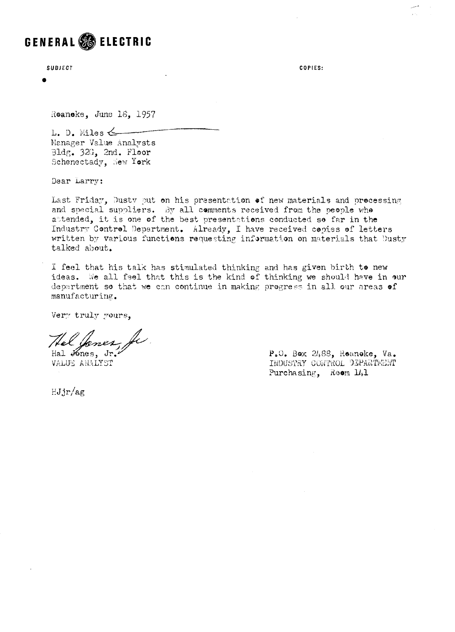## GENERAL **& ELECTRIC**

SUBJECT

 $\bullet$ 

COPIES:

 $\sim 10^{-1}$ 

Roanoke, June 18, 1957

L. D. Miles  $\leftarrow$ Manager Value Analysts Bldg. 32G. 2nd. Floor Schenectady, New York

Dear Larry:

Last Friday, Dusty put on his presentation of new materials and processing and special suppliers. By all comments received from the people who attended, it is one of the best presentations conducted so far in the Industry Control Department. Already, I have received copies of letters written by various functions requesting information on materials that Dusty talked about.

I feel that his talk has stimulated thinking and has given birth to new ideas. We all feel that this is the kind of thinking we should have in our department so that we can continue in making progress in all our areas of manufacturing.

Very truly yours,

le 2 Hal Jones, Jr.

VALUE ANALYST

 $HJjr/ag$ 

P.O. Box 2488, Roanoke, Va. INDUSTRY CONTROL DEPARTMENT Purchasing, Reem 141